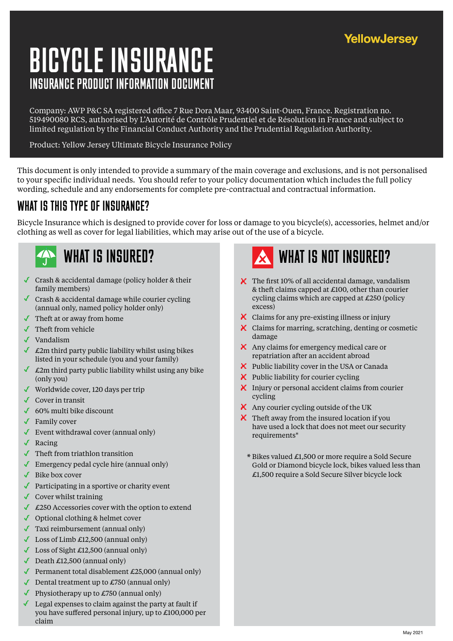#### **YellowJersey**

# INSURANCE PRODUCT INFORMATION DOCUMENT BICYCLE INSURANCE

Company: AWP P&C SA registered office 7 Rue Dora Maar, 93400 Saint-Ouen, France. Registration no. 519490080 RCS, authorised by L'Autorité de Contrôle Prudentiel et de Résolution in France and subject to limited regulation by the Financial Conduct Authority and the Prudential Regulation Authority.

Product: Yellow Jersey Ultimate Bicycle Insurance Policy

This document is only intended to provide a summary of the main coverage and exclusions, and is not personalised to your specific individual needs. You should refer to your policy documentation which includes the full policy wording, schedule and any endorsements for complete pre-contractual and contractual information.

#### WHAT IS THIS TYPE OF INSURANCE?

Bicycle Insurance which is designed to provide cover for loss or damage to you bicycle(s), accessories, helmet and/or clothing as well as cover for legal liabilities, which may arise out of the use of a bicycle.



- Crash & accidental damage (policy holder & their family members)
- Crash & accidental damage while courier cycling (annual only, named policy holder only)
- Theft at or away from home
- Theft from vehicle
- Vandalism
- $\triangle$  £2m third party public liability whilst using bikes listed in your schedule (you and your family)
- $\triangle$  £2m third party public liability whilst using any bike (only you)
- Worldwide cover, 120 days per trip
- Cover in transit
- ◆ 60% multi bike discount
- Family cover
- Event withdrawal cover (annual only)
- ◆ Racing
- $\sqrt{\phantom{a}}$  Theft from triathlon transition
- Emergency pedal cycle hire (annual only)
- ◆ Bike box cover
- ◆ Participating in a sportive or charity event
- $\triangleleft$  Cover whilst training
- $\triangle$  £250 Accessories cover with the option to extend
- ◆ Optional clothing & helmet cover
- Taxi reimbursement (annual only)
- $\triangle$  Loss of Limb £12,500 (annual only)
- $\triangle$  Loss of Sight £12,500 (annual only)
- Death  $£12,500$  (annual only)
- **Permanent total disablement £25,000 (annual only)**
- Dental treatment up to  $\pounds$ 750 (annual only)
- ✓ Physiotherapy up to £750 (annual only)
- Legal expenses to claim against the party at fault if √ you have suffered personal injury, up to £100,000 per claim



- $\blacktriangleright$  The first 10% of all accidental damage, vandalism & theft claims capped at £100, other than courier cycling claims which are capped at £250 (policy  $\alpha$
- Claims for any pre-existing illness or injury
- X Claims for marring, scratching, denting or cosmetic damage
- Any claims for emergency medical care or repatriation after an accident abroad
- $\blacktriangleright$  Public liability cover in the USA or Canada
- $\boldsymbol{\times}$  Public liability for courier cycling
- $\blacksquare$  Injury or personal accident claims from courier cycling
- $\blacktriangle$  Any courier cycling outside of the UK
- $\blacktriangleright$  Theft away from the insured location if you have used a lock that does not meet our security requirements\*
	- $*$  Bikes valued £1,500 or more require a Sold Secure Gold or Diamond bicycle lock, bikes valued less than £1,500 require a Sold Secure Silver bicycle lock